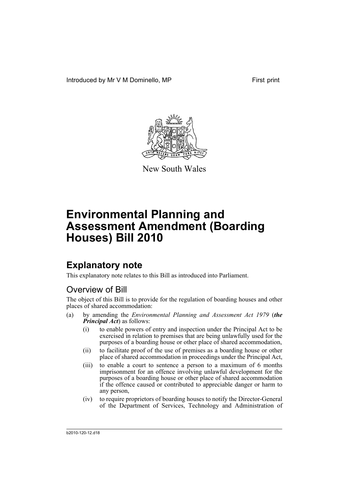Introduced by Mr V M Dominello, MP First print



New South Wales

# **Environmental Planning and Assessment Amendment (Boarding Houses) Bill 2010**

## **Explanatory note**

This explanatory note relates to this Bill as introduced into Parliament.

## Overview of Bill

The object of this Bill is to provide for the regulation of boarding houses and other places of shared accommodation:

- (a) by amending the *Environmental Planning and Assessment Act 1979* (*the Principal Act*) as follows:
	- (i) to enable powers of entry and inspection under the Principal Act to be exercised in relation to premises that are being unlawfully used for the purposes of a boarding house or other place of shared accommodation,
	- (ii) to facilitate proof of the use of premises as a boarding house or other place of shared accommodation in proceedings under the Principal Act,
	- (iii) to enable a court to sentence a person to a maximum of 6 months imprisonment for an offence involving unlawful development for the purposes of a boarding house or other place of shared accommodation if the offence caused or contributed to appreciable danger or harm to any person,
	- (iv) to require proprietors of boarding houses to notify the Director-General of the Department of Services, Technology and Administration of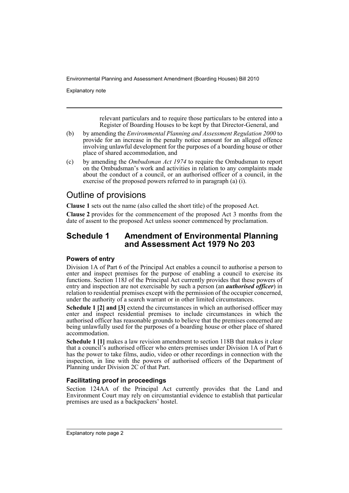Explanatory note

relevant particulars and to require those particulars to be entered into a Register of Boarding Houses to be kept by that Director-General, and

- (b) by amending the *Environmental Planning and Assessment Regulation 2000* to provide for an increase in the penalty notice amount for an alleged offence involving unlawful development for the purposes of a boarding house or other place of shared accommodation, and
- (c) by amending the *Ombudsman Act 1974* to require the Ombudsman to report on the Ombudsman's work and activities in relation to any complaints made about the conduct of a council, or an authorised officer of a council, in the exercise of the proposed powers referred to in paragraph (a) (i).

## Outline of provisions

**Clause 1** sets out the name (also called the short title) of the proposed Act.

**Clause 2** provides for the commencement of the proposed Act 3 months from the date of assent to the proposed Act unless sooner commenced by proclamation.

## **Schedule 1 Amendment of Environmental Planning and Assessment Act 1979 No 203**

#### **Powers of entry**

Division 1A of Part 6 of the Principal Act enables a council to authorise a person to enter and inspect premises for the purpose of enabling a council to exercise its functions. Section 118J of the Principal Act currently provides that these powers of entry and inspection are not exercisable by such a person (an *authorised officer*) in relation to residential premises except with the permission of the occupier concerned, under the authority of a search warrant or in other limited circumstances.

**Schedule 1 [2] and [3]** extend the circumstances in which an authorised officer may enter and inspect residential premises to include circumstances in which the authorised officer has reasonable grounds to believe that the premises concerned are being unlawfully used for the purposes of a boarding house or other place of shared accommodation.

**Schedule 1 [1]** makes a law revision amendment to section 118B that makes it clear that a council's authorised officer who enters premises under Division 1A of Part 6 has the power to take films, audio, video or other recordings in connection with the inspection, in line with the powers of authorised officers of the Department of Planning under Division 2C of that Part.

#### **Facilitating proof in proceedings**

Section 124AA of the Principal Act currently provides that the Land and Environment Court may rely on circumstantial evidence to establish that particular premises are used as a backpackers' hostel.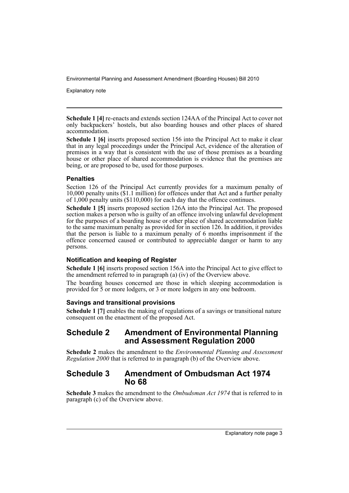Explanatory note

**Schedule 1 [4]** re-enacts and extends section 124AA of the Principal Act to cover not only backpackers' hostels, but also boarding houses and other places of shared accommodation.

**Schedule 1 [6]** inserts proposed section 156 into the Principal Act to make it clear that in any legal proceedings under the Principal Act, evidence of the alteration of premises in a way that is consistent with the use of those premises as a boarding house or other place of shared accommodation is evidence that the premises are being, or are proposed to be, used for those purposes.

#### **Penalties**

Section 126 of the Principal Act currently provides for a maximum penalty of 10,000 penalty units (\$1.1 million) for offences under that Act and a further penalty of 1,000 penalty units (\$110,000) for each day that the offence continues.

**Schedule 1 [5]** inserts proposed section 126A into the Principal Act. The proposed section makes a person who is guilty of an offence involving unlawful development for the purposes of a boarding house or other place of shared accommodation liable to the same maximum penalty as provided for in section 126. In addition, it provides that the person is liable to a maximum penalty of 6 months imprisonment if the offence concerned caused or contributed to appreciable danger or harm to any persons.

#### **Notification and keeping of Register**

**Schedule 1 [6]** inserts proposed section 156A into the Principal Act to give effect to the amendment referred to in paragraph (a) (iv) of the Overview above.

The boarding houses concerned are those in which sleeping accommodation is provided for 5 or more lodgers, or 3 or more lodgers in any one bedroom.

#### **Savings and transitional provisions**

**Schedule 1 [7]** enables the making of regulations of a savings or transitional nature consequent on the enactment of the proposed Act.

## **Schedule 2 Amendment of Environmental Planning and Assessment Regulation 2000**

**Schedule 2** makes the amendment to the *Environmental Planning and Assessment Regulation 2000* that is referred to in paragraph (b) of the Overview above.

## **Schedule 3 Amendment of Ombudsman Act 1974 No 68**

**Schedule 3** makes the amendment to the *Ombudsman Act 1974* that is referred to in paragraph (c) of the Overview above.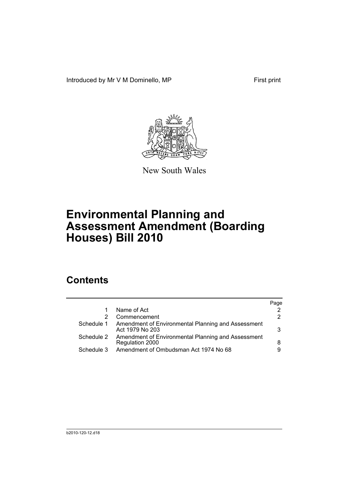Introduced by Mr V M Dominello, MP First print



New South Wales

# **Environmental Planning and Assessment Amendment (Boarding Houses) Bill 2010**

## **Contents**

|            |                                                                       | Page |
|------------|-----------------------------------------------------------------------|------|
|            | Name of Act                                                           |      |
|            | Commencement                                                          | 2    |
| Schedule 1 | Amendment of Environmental Planning and Assessment<br>Act 1979 No 203 | 3    |
| Schedule 2 | Amendment of Environmental Planning and Assessment<br>Regulation 2000 | 8    |
| Schedule 3 | Amendment of Ombudsman Act 1974 No 68                                 | 9    |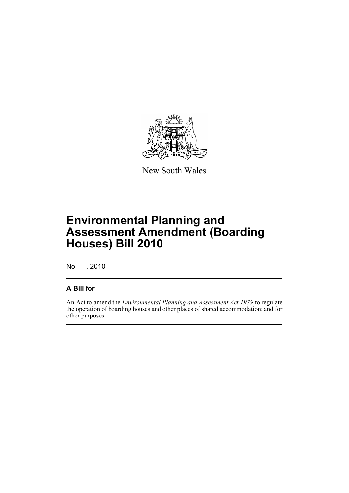

New South Wales

# **Environmental Planning and Assessment Amendment (Boarding Houses) Bill 2010**

No , 2010

## **A Bill for**

An Act to amend the *Environmental Planning and Assessment Act 1979* to regulate the operation of boarding houses and other places of shared accommodation; and for other purposes.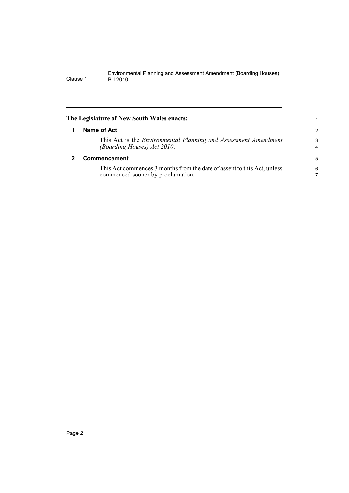<span id="page-7-1"></span><span id="page-7-0"></span>

|   | The Legislature of New South Wales enacts:                                                                   |                     |
|---|--------------------------------------------------------------------------------------------------------------|---------------------|
| 1 | Name of Act                                                                                                  | 2                   |
|   | This Act is the <i>Environmental Planning and Assessment Amendment</i><br>(Boarding Houses) Act 2010.        | 3<br>$\overline{4}$ |
|   | <b>Commencement</b>                                                                                          |                     |
|   | This Act commences 3 months from the date of assent to this Act, unless<br>commenced sooner by proclamation. | 6                   |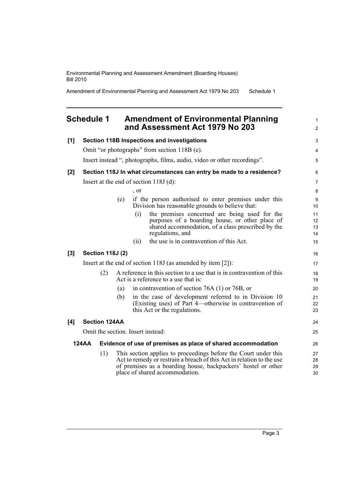Amendment of Environmental Planning and Assessment Act 1979 No 203 Schedule 1

### <span id="page-8-0"></span>**Schedule 1 Amendment of Environmental Planning and Assessment Act 1979 No 203**

| [1]   | Section 118B Inspections and investigations                                  |     |     |            |                                                                                                                                                                                                                                             | 3                    |
|-------|------------------------------------------------------------------------------|-----|-----|------------|---------------------------------------------------------------------------------------------------------------------------------------------------------------------------------------------------------------------------------------------|----------------------|
|       |                                                                              |     |     |            | Omit "or photographs" from section 118B (e).                                                                                                                                                                                                | 4                    |
|       |                                                                              |     |     |            | Insert instead ", photographs, films, audio, video or other recordings".                                                                                                                                                                    | 5                    |
| $[2]$ | Section 118J In what circumstances can entry be made to a residence?         |     |     |            | 6                                                                                                                                                                                                                                           |                      |
|       |                                                                              |     |     |            | Insert at the end of section $118J$ (d):                                                                                                                                                                                                    | $\overline{7}$       |
|       |                                                                              |     |     | $\cdot$ or |                                                                                                                                                                                                                                             | 8                    |
|       |                                                                              |     | (e) |            | if the person authorised to enter premises under this<br>Division has reasonable grounds to believe that:                                                                                                                                   | 9<br>10              |
|       |                                                                              |     |     | (i)        | the premises concerned are being used for the<br>purposes of a boarding house, or other place of<br>shared accommodation, of a class prescribed by the<br>regulations, and                                                                  | 11<br>12<br>13<br>14 |
|       |                                                                              |     |     | (ii)       | the use is in contravention of this Act.                                                                                                                                                                                                    | 15                   |
| [3]   | <b>Section 118J (2)</b>                                                      |     |     |            | 16                                                                                                                                                                                                                                          |                      |
|       | Insert at the end of section $118J$ (as amended by item [2]):                |     |     |            |                                                                                                                                                                                                                                             | 17                   |
|       | (2)                                                                          |     |     |            | A reference in this section to a use that is in contravention of this<br>Act is a reference to a use that is:                                                                                                                               | 18<br>19             |
|       |                                                                              |     | (a) |            | in contravention of section 76A $(1)$ or 76B, or                                                                                                                                                                                            | 20                   |
|       |                                                                              |     | (b) |            | in the case of development referred to in Division 10<br>(Existing uses) of Part 4—otherwise in contravention of<br>this Act or the regulations.                                                                                            | 21<br>22<br>23       |
| [4]   | <b>Section 124AA</b>                                                         |     |     |            | 24                                                                                                                                                                                                                                          |                      |
|       |                                                                              |     |     |            | Omit the section. Insert instead:                                                                                                                                                                                                           | 25                   |
|       | <b>124AA</b><br>Evidence of use of premises as place of shared accommodation |     | 26  |            |                                                                                                                                                                                                                                             |                      |
|       |                                                                              | (1) |     |            | This section applies to proceedings before the Court under this<br>Act to remedy or restrain a breach of this Act in relation to the use<br>of premises as a boarding house, backpackers' hostel or other<br>place of shared accommodation. | 27<br>28<br>29<br>30 |

1 2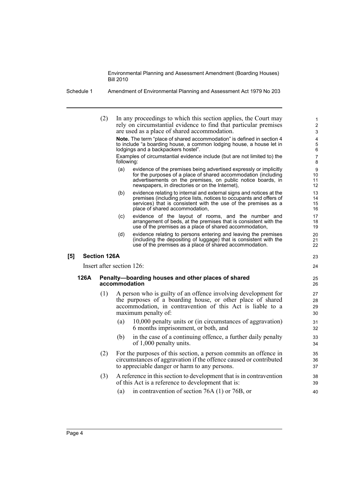(2) In any proceedings to which this section applies, the Court may rely on circumstantial evidence to find that particular premises are used as a place of shared accommodation. **Note.** The term "place of shared accommodation" is defined in section 4 to include "a boarding house, a common lodging house, a house let in lodgings and a backpackers hostel". Examples of circumstantial evidence include (but are not limited to) the following: (a) evidence of the premises being advertised expressly or implicitly for the purposes of a place of shared accommodation (including advertisements on the premises, on public notice boards, in newspapers, in directories or on the Internet), (b) evidence relating to internal and external signs and notices at the premises (including price lists, notices to occupants and offers of services) that is consistent with the use of the premises as a place of shared accommodation, (c) evidence of the layout of rooms, and the number and arrangement of beds, at the premises that is consistent with the use of the premises as a place of shared accommodation, (d) evidence relating to persons entering and leaving the premises (including the depositing of luggage) that is consistent with the use of the premises as a place of shared accommodation. **[5] Section 126A** Insert after section 126: **126A Penalty—boarding houses and other places of shared accommodation** (1) A person who is guilty of an offence involving development for the purposes of a boarding house, or other place of shared accommodation, in contravention of this Act is liable to a maximum penalty of: (a) 10,000 penalty units or (in circumstances of aggravation) 6 months imprisonment, or both, and (b) in the case of a continuing offence, a further daily penalty of 1,000 penalty units. (2) For the purposes of this section, a person commits an offence in circumstances of aggravation if the offence caused or contributed to appreciable danger or harm to any persons. (3) A reference in this section to development that is in contravention of this Act is a reference to development that is: 1 2 3 4 5 6 7 8 9 10 11 12 13 14 15 16 17 18 19 20 21 22 23 24 25 26 27 28 29  $30$ 31 32 33 34 35 36 37 38 39

(a) in contravention of section 76A (1) or 76B, or

 $40$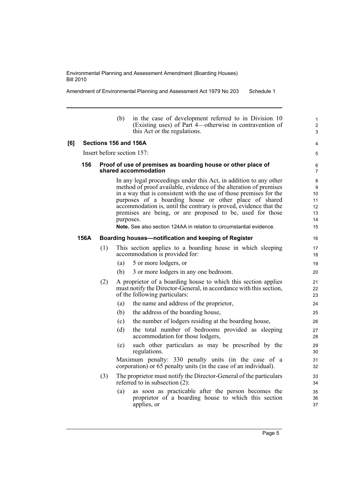Amendment of Environmental Planning and Assessment Act 1979 No 203 Schedule 1

|     |      |     | (b)       | in the case of development referred to in Division 10<br>(Existing uses) of Part 4—otherwise in contravention of<br>this Act or the regulations.                                                                                                                                                                                                                                                                                                                                       | 1<br>$\overline{2}$<br>3                   |
|-----|------|-----|-----------|----------------------------------------------------------------------------------------------------------------------------------------------------------------------------------------------------------------------------------------------------------------------------------------------------------------------------------------------------------------------------------------------------------------------------------------------------------------------------------------|--------------------------------------------|
| [6] |      |     |           | Sections 156 and 156A                                                                                                                                                                                                                                                                                                                                                                                                                                                                  | 4                                          |
|     |      |     |           | Insert before section 157:                                                                                                                                                                                                                                                                                                                                                                                                                                                             | 5                                          |
|     | 156  |     |           | Proof of use of premises as boarding house or other place of<br>shared accommodation                                                                                                                                                                                                                                                                                                                                                                                                   | 6<br>$\overline{7}$                        |
|     |      |     | purposes. | In any legal proceedings under this Act, in addition to any other<br>method of proof available, evidence of the alteration of premises<br>in a way that is consistent with the use of those premises for the<br>purposes of a boarding house or other place of shared<br>accommodation is, until the contrary is proved, evidence that the<br>premises are being, or are proposed to be, used for those<br><b>Note.</b> See also section 124AA in relation to circumstantial evidence. | 8<br>9<br>10<br>11<br>12<br>13<br>14<br>15 |
|     | 156A |     |           | Boarding houses-notification and keeping of Register                                                                                                                                                                                                                                                                                                                                                                                                                                   | 16                                         |
|     |      | (1) |           | This section applies to a boarding house in which sleeping<br>accommodation is provided for:                                                                                                                                                                                                                                                                                                                                                                                           | 17<br>18                                   |
|     |      |     | (a)       | 5 or more lodgers, or                                                                                                                                                                                                                                                                                                                                                                                                                                                                  | 19                                         |
|     |      |     | (b)       | 3 or more lodgers in any one bedroom.                                                                                                                                                                                                                                                                                                                                                                                                                                                  | 20                                         |
|     |      | (2) |           | A proprietor of a boarding house to which this section applies<br>must notify the Director-General, in accordance with this section,<br>of the following particulars:                                                                                                                                                                                                                                                                                                                  | 21<br>22<br>23                             |
|     |      |     | (a)       | the name and address of the proprietor,                                                                                                                                                                                                                                                                                                                                                                                                                                                | 24                                         |
|     |      |     | (b)       | the address of the boarding house,                                                                                                                                                                                                                                                                                                                                                                                                                                                     | 25                                         |
|     |      |     | (c)       | the number of lodgers residing at the boarding house,                                                                                                                                                                                                                                                                                                                                                                                                                                  | 26                                         |
|     |      |     | (d)       | the total number of bedrooms provided as sleeping<br>accommodation for those lodgers,                                                                                                                                                                                                                                                                                                                                                                                                  | 27<br>28                                   |
|     |      |     | (e)       | such other particulars as may be prescribed by the<br>regulations.                                                                                                                                                                                                                                                                                                                                                                                                                     | 29<br>30                                   |
|     |      |     |           | Maximum penalty: 330 penalty units (in the case of a<br>corporation) or 65 penalty units (in the case of an individual).                                                                                                                                                                                                                                                                                                                                                               | 31<br>32                                   |
|     |      | (3) |           | The proprietor must notify the Director-General of the particulars<br>referred to in subsection $(2)$ :                                                                                                                                                                                                                                                                                                                                                                                | 33<br>34                                   |
|     |      |     | (a)       | as soon as practicable after the person becomes the<br>proprietor of a boarding house to which this section<br>applies, or                                                                                                                                                                                                                                                                                                                                                             | 35<br>36<br>37                             |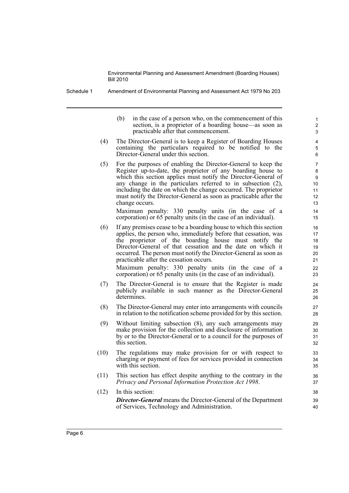Schedule 1 Amendment of Environmental Planning and Assessment Act 1979 No 203

(b) in the case of a person who, on the commencement of this section, is a proprietor of a boarding house—as soon as practicable after that commencement.

- (4) The Director-General is to keep a Register of Boarding Houses containing the particulars required to be notified to the Director-General under this section.
- (5) For the purposes of enabling the Director-General to keep the Register up-to-date, the proprietor of any boarding house to which this section applies must notify the Director-General of any change in the particulars referred to in subsection (2), including the date on which the change occurred. The proprietor must notify the Director-General as soon as practicable after the change occurs.

Maximum penalty: 330 penalty units (in the case of a corporation) or 65 penalty units (in the case of an individual).

(6) If any premises cease to be a boarding house to which this section applies, the person who, immediately before that cessation, was the proprietor of the boarding house must notify the Director-General of that cessation and the date on which it occurred. The person must notify the Director-General as soon as practicable after the cessation occurs.

Maximum penalty: 330 penalty units (in the case of a corporation) or 65 penalty units (in the case of an individual).

- (7) The Director-General is to ensure that the Register is made publicly available in such manner as the Director-General determines.
- (8) The Director-General may enter into arrangements with councils in relation to the notification scheme provided for by this section.
- (9) Without limiting subsection (8), any such arrangements may make provision for the collection and disclosure of information by or to the Director-General or to a council for the purposes of this section.
- (10) The regulations may make provision for or with respect to charging or payment of fees for services provided in connection with this section.
- (11) This section has effect despite anything to the contrary in the *Privacy and Personal Information Protection Act 1998*.
- (12) In this section: *Director-General* means the Director-General of the Department of Services, Technology and Administration.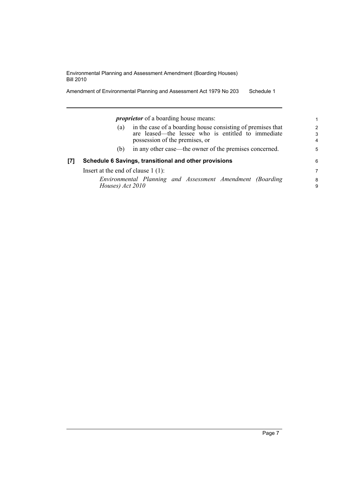Amendment of Environmental Planning and Assessment Act 1979 No 203 Schedule 1

|     | <i>proprietor</i> of a boarding house means:                                                                                                               | 1.          |
|-----|------------------------------------------------------------------------------------------------------------------------------------------------------------|-------------|
|     | in the case of a boarding house consisting of premises that<br>(a)<br>are leased—the lessee who is entitled to immediate<br>possession of the premises, or | 2<br>3<br>4 |
|     | in any other case—the owner of the premises concerned.<br>(b)                                                                                              | 5           |
| [7] | Schedule 6 Savings, transitional and other provisions                                                                                                      | 6           |
|     | Insert at the end of clause $1(1)$ :                                                                                                                       | 7           |
|     | Environmental Planning and Assessment Amendment (Boarding<br>Houses) Act 2010                                                                              | 8<br>9      |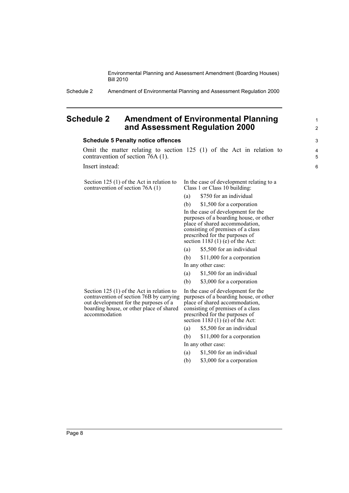Schedule 2 Amendment of Environmental Planning and Assessment Regulation 2000

### <span id="page-13-0"></span>**Schedule 2 Amendment of Environmental Planning and Assessment Regulation 2000**

#### **Schedule 5 Penalty notice offences**

Omit the matter relating to section 125 (1) of the Act in relation to contravention of section 76A (1).

Insert instead:

Section 125 (1) of the Act in relation to contravention of section 76A (1)

In the case of development relating to a Class 1 or Class 10 building:

1 2

- (a) \$750 for an individual
- (b) \$1,500 for a corporation

In the case of development for the purposes of a boarding house, or other place of shared accommodation, consisting of premises of a class prescribed for the purposes of section  $118J(1)$  (e) of the Act:

(a) \$5,500 for an individual

(b) \$11,000 for a corporation In any other case:

- (a) \$1,500 for an individual
- (b) \$3,000 for a corporation

Section 125 (1) of the Act in relation to contravention of section 76B by carrying out development for the purposes of a boarding house, or other place of shared accommodation

In the case of development for the purposes of a boarding house, or other place of shared accommodation, consisting of premises of a class prescribed for the purposes of section  $118J(1)$  (e) of the Act:

(a) \$5,500 for an individual

(b) \$11,000 for a corporation In any other case:

- (a) \$1,500 for an individual
- (b) \$3,000 for a corporation